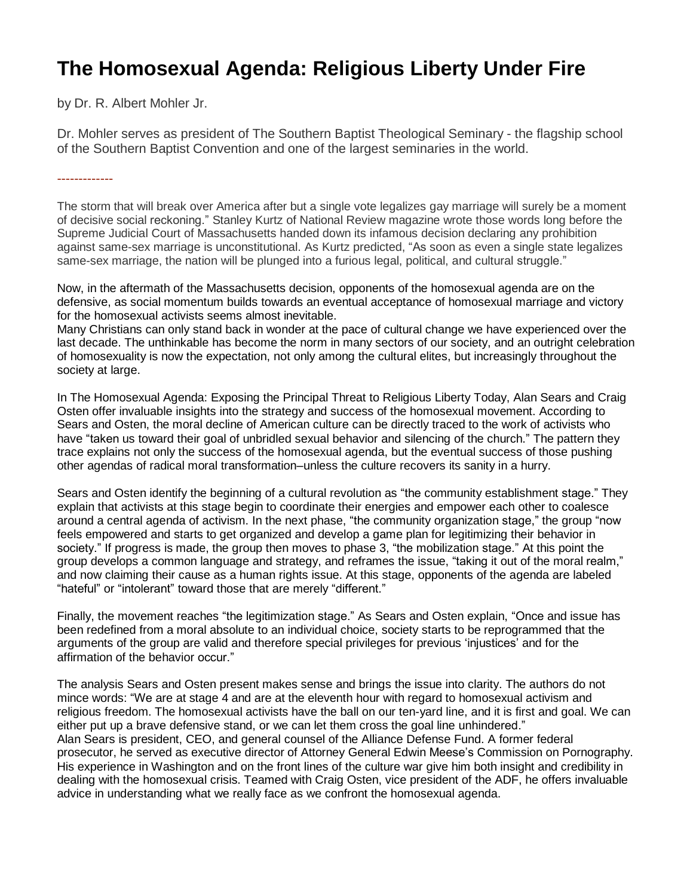## **The Homosexual Agenda: Religious Liberty Under Fire**

by Dr. R. Albert Mohler Jr.

Dr. Mohler serves as president of The Southern Baptist Theological Seminary - the flagship school of the Southern Baptist Convention and one of the largest seminaries in the world.

-------------

The storm that will break over America after but a single vote legalizes gay marriage will surely be a moment of decisive social reckoning." Stanley Kurtz of National Review magazine wrote those words long before the Supreme Judicial Court of Massachusetts handed down its infamous decision declaring any prohibition against same-sex marriage is unconstitutional. As Kurtz predicted, "As soon as even a single state legalizes same-sex marriage, the nation will be plunged into a furious legal, political, and cultural struggle."

Now, in the aftermath of the Massachusetts decision, opponents of the homosexual agenda are on the defensive, as social momentum builds towards an eventual acceptance of homosexual marriage and victory for the homosexual activists seems almost inevitable.

Many Christians can only stand back in wonder at the pace of cultural change we have experienced over the last decade. The unthinkable has become the norm in many sectors of our society, and an outright celebration of homosexuality is now the expectation, not only among the cultural elites, but increasingly throughout the society at large.

In The Homosexual Agenda: Exposing the Principal Threat to Religious Liberty Today, Alan Sears and Craig Osten offer invaluable insights into the strategy and success of the homosexual movement. According to Sears and Osten, the moral decline of American culture can be directly traced to the work of activists who have "taken us toward their goal of unbridled sexual behavior and silencing of the church." The pattern they trace explains not only the success of the homosexual agenda, but the eventual success of those pushing other agendas of radical moral transformation–unless the culture recovers its sanity in a hurry.

Sears and Osten identify the beginning of a cultural revolution as "the community establishment stage." They explain that activists at this stage begin to coordinate their energies and empower each other to coalesce around a central agenda of activism. In the next phase, "the community organization stage," the group "now feels empowered and starts to get organized and develop a game plan for legitimizing their behavior in society." If progress is made, the group then moves to phase 3, "the mobilization stage." At this point the group develops a common language and strategy, and reframes the issue, "taking it out of the moral realm," and now claiming their cause as a human rights issue. At this stage, opponents of the agenda are labeled "hateful" or "intolerant" toward those that are merely "different."

Finally, the movement reaches "the legitimization stage." As Sears and Osten explain, "Once and issue has been redefined from a moral absolute to an individual choice, society starts to be reprogrammed that the arguments of the group are valid and therefore special privileges for previous 'injustices' and for the affirmation of the behavior occur."

The analysis Sears and Osten present makes sense and brings the issue into clarity. The authors do not mince words: "We are at stage 4 and are at the eleventh hour with regard to homosexual activism and religious freedom. The homosexual activists have the ball on our ten-yard line, and it is first and goal. We can either put up a brave defensive stand, or we can let them cross the goal line unhindered." Alan Sears is president, CEO, and general counsel of the Alliance Defense Fund. A former federal prosecutor, he served as executive director of Attorney General Edwin Meese's Commission on Pornography. His experience in Washington and on the front lines of the culture war give him both insight and credibility in dealing with the homosexual crisis. Teamed with Craig Osten, vice president of the ADF, he offers invaluable advice in understanding what we really face as we confront the homosexual agenda.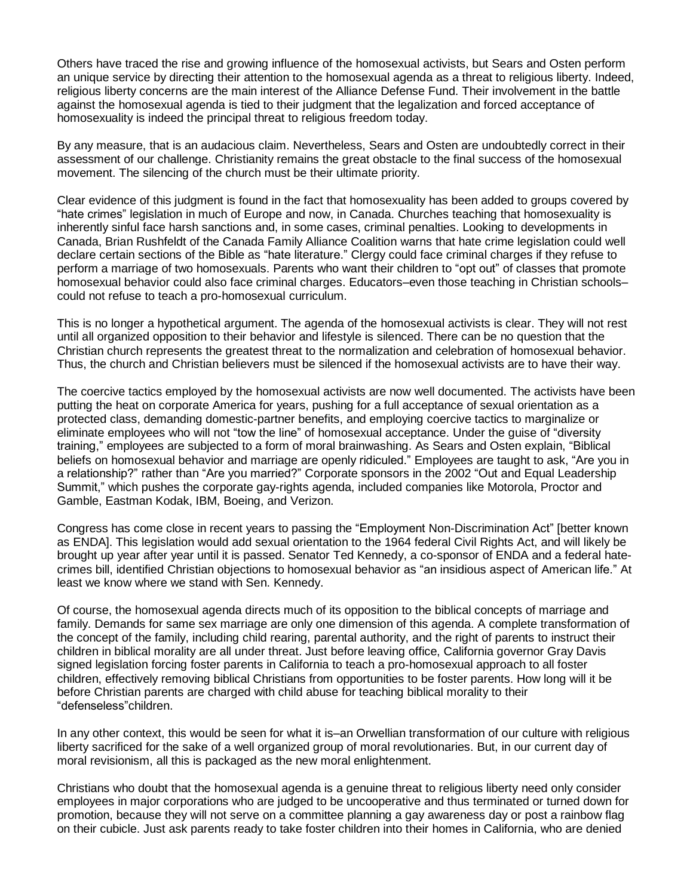Others have traced the rise and growing influence of the homosexual activists, but Sears and Osten perform an unique service by directing their attention to the homosexual agenda as a threat to religious liberty. Indeed, religious liberty concerns are the main interest of the Alliance Defense Fund. Their involvement in the battle against the homosexual agenda is tied to their judgment that the legalization and forced acceptance of homosexuality is indeed the principal threat to religious freedom today.

By any measure, that is an audacious claim. Nevertheless, Sears and Osten are undoubtedly correct in their assessment of our challenge. Christianity remains the great obstacle to the final success of the homosexual movement. The silencing of the church must be their ultimate priority.

Clear evidence of this judgment is found in the fact that homosexuality has been added to groups covered by "hate crimes" legislation in much of Europe and now, in Canada. Churches teaching that homosexuality is inherently sinful face harsh sanctions and, in some cases, criminal penalties. Looking to developments in Canada, Brian Rushfeldt of the Canada Family Alliance Coalition warns that hate crime legislation could well declare certain sections of the Bible as "hate literature." Clergy could face criminal charges if they refuse to perform a marriage of two homosexuals. Parents who want their children to "opt out" of classes that promote homosexual behavior could also face criminal charges. Educators–even those teaching in Christian schools– could not refuse to teach a pro-homosexual curriculum.

This is no longer a hypothetical argument. The agenda of the homosexual activists is clear. They will not rest until all organized opposition to their behavior and lifestyle is silenced. There can be no question that the Christian church represents the greatest threat to the normalization and celebration of homosexual behavior. Thus, the church and Christian believers must be silenced if the homosexual activists are to have their way.

The coercive tactics employed by the homosexual activists are now well documented. The activists have been putting the heat on corporate America for years, pushing for a full acceptance of sexual orientation as a protected class, demanding domestic-partner benefits, and employing coercive tactics to marginalize or eliminate employees who will not "tow the line" of homosexual acceptance. Under the guise of "diversity training," employees are subjected to a form of moral brainwashing. As Sears and Osten explain, "Biblical beliefs on homosexual behavior and marriage are openly ridiculed." Employees are taught to ask, "Are you in a relationship?" rather than "Are you married?" Corporate sponsors in the 2002 "Out and Equal Leadership Summit," which pushes the corporate gay-rights agenda, included companies like Motorola, Proctor and Gamble, Eastman Kodak, IBM, Boeing, and Verizon.

Congress has come close in recent years to passing the "Employment Non-Discrimination Act" [better known as ENDA]. This legislation would add sexual orientation to the 1964 federal Civil Rights Act, and will likely be brought up year after year until it is passed. Senator Ted Kennedy, a co-sponsor of ENDA and a federal hatecrimes bill, identified Christian objections to homosexual behavior as "an insidious aspect of American life." At least we know where we stand with Sen. Kennedy.

Of course, the homosexual agenda directs much of its opposition to the biblical concepts of marriage and family. Demands for same sex marriage are only one dimension of this agenda. A complete transformation of the concept of the family, including child rearing, parental authority, and the right of parents to instruct their children in biblical morality are all under threat. Just before leaving office, California governor Gray Davis signed legislation forcing foster parents in California to teach a pro-homosexual approach to all foster children, effectively removing biblical Christians from opportunities to be foster parents. How long will it be before Christian parents are charged with child abuse for teaching biblical morality to their "defenseless"children.

In any other context, this would be seen for what it is–an Orwellian transformation of our culture with religious liberty sacrificed for the sake of a well organized group of moral revolutionaries. But, in our current day of moral revisionism, all this is packaged as the new moral enlightenment.

Christians who doubt that the homosexual agenda is a genuine threat to religious liberty need only consider employees in major corporations who are judged to be uncooperative and thus terminated or turned down for promotion, because they will not serve on a committee planning a gay awareness day or post a rainbow flag on their cubicle. Just ask parents ready to take foster children into their homes in California, who are denied